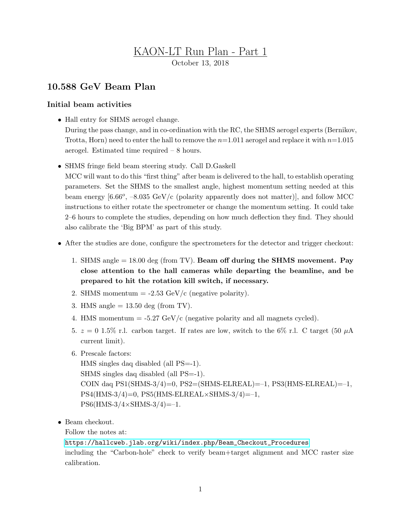## KAON-LT Run Plan - Part 1 October 13, 2018

## 10.588 GeV Beam Plan

## Initial beam activities

- Hall entry for SHMS aerogel change. During the pass change, and in co-ordination with the RC, the SHMS aerogel experts (Bernikov, Trotta, Horn) need to enter the hall to remove the  $n=1.011$  aerogel and replace it with  $n=1.015$ aerogel. Estimated time required – 8 hours.
- SHMS fringe field beam steering study. Call D.Gaskell

MCC will want to do this "first thing" after beam is delivered to the hall, to establish operating parameters. Set the SHMS to the smallest angle, highest momentum setting needed at this beam energy  $[6.66^{\circ}, -8.035 \text{ GeV/c}$  (polarity apparently does not matter), and follow MCC instructions to either rotate the spectrometer or change the momentum setting. It could take 2–6 hours to complete the studies, depending on how much deflection they find. They should also calibrate the 'Big BPM' as part of this study.

- After the studies are done, configure the spectrometers for the detector and trigger checkout:
	- 1. SHMS angle  $= 18.00$  deg (from TV). Beam off during the SHMS movement. Pay close attention to the hall cameras while departing the beamline, and be prepared to hit the rotation kill switch, if necessary.
	- 2. SHMS momentum  $= -2.53 \text{ GeV/c}$  (negative polarity).
	- 3. HMS angle  $= 13.50$  deg (from TV).
	- 4. HMS momentum  $= -5.27$  GeV/c (negative polarity and all magnets cycled).
	- 5.  $z = 0.15\%$  r.l. carbon target. If rates are low, switch to the 6% r.l. C target (50  $\mu$ A) current limit).
	- 6. Prescale factors:

HMS singles daq disabled (all PS=-1). SHMS singles daq disabled (all PS=-1). COIN daq PS1(SHMS-3/4)=0, PS2=(SHMS-ELREAL)=–1, PS3(HMS-ELREAL)=–1,  $PS4(HMS-3/4)=0$ ,  $PS5(HMS-ELREAL\times SHMS-3/4)=-1$ ,  $PS6(HMS-3/4\times SHMS-3/4) = -1.$ 

• Beam checkout.

Follow the notes at:

[https://hallcweb.jlab.org/wiki/index.php/Beam\\_Checkout\\_Procedures](https://hallcweb.jlab.org/wiki/index.php/Beam_Checkout_Procedures) including the "Carbon-hole" check to verify beam+target alignment and MCC raster size calibration.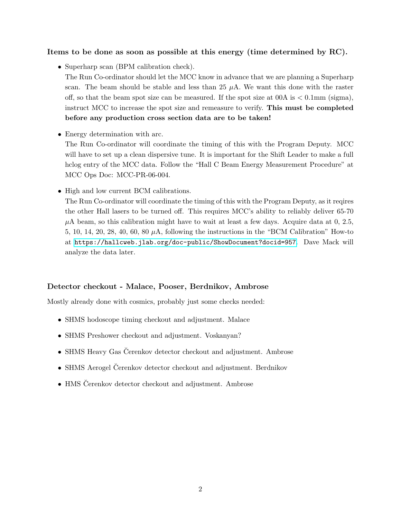## Items to be done as soon as possible at this energy (time determined by RC).

• Superharp scan (BPM calibration check).

The Run Co-ordinator should let the MCC know in advance that we are planning a Superharp scan. The beam should be stable and less than 25  $\mu$ A. We want this done with the raster off, so that the beam spot size can be measured. If the spot size at  $0.0A$  is  $\lt 0.1$ mm (sigma), instruct MCC to increase the spot size and remeasure to verify. This must be completed before any production cross section data are to be taken!

• Energy determination with arc.

The Run Co-ordinator will coordinate the timing of this with the Program Deputy. MCC will have to set up a clean dispersive tune. It is important for the Shift Leader to make a full hclog entry of the MCC data. Follow the "Hall C Beam Energy Measurement Procedure" at MCC Ops Doc: MCC-PR-06-004.

• High and low current BCM calibrations.

The Run Co-ordinator will coordinate the timing of this with the Program Deputy, as it reqires the other Hall lasers to be turned off. This requires MCC's ability to reliably deliver 65-70  $\mu$ A beam, so this calibration might have to wait at least a few days. Acquire data at 0, 2.5, 5, 10, 14, 20, 28, 40, 60, 80  $\mu$ A, following the instructions in the "BCM Calibration" How-to at <https://hallcweb.jlab.org/doc-public/ShowDocument?docid=957>. Dave Mack will analyze the data later.

## Detector checkout - Malace, Pooser, Berdnikov, Ambrose

Mostly already done with cosmics, probably just some checks needed:

- SHMS hodoscope timing checkout and adjustment. Malace
- SHMS Preshower checkout and adjustment. Voskanyan?
- SHMS Heavy Gas Čerenkov detector checkout and adjustment. Ambrose
- SHMS Aerogel Čerenkov detector checkout and adjustment. Berdnikov
- HMS Cerenkov detector checkout and adjustment. Ambrose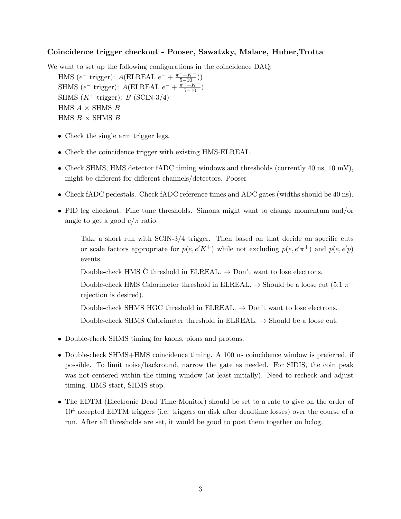### Coincidence trigger checkout - Pooser, Sawatzky, Malace, Huber,Trotta

We want to set up the following configurations in the coincidence DAQ:

HMS ( $e^-$  trigger):  $A(\text{ELREAL } e^- + \frac{\pi^- + K^-}{5 - 10})$ ) SHMS ( $e^-$  trigger):  $A(\text{ELREAL } e^- + \frac{\pi^- + K^-}{5-10})$ SHMS  $(K^+$  trigger): B (SCIN-3/4) HMS  $A \times$  SHMS  $B$ HMS  $B \times$  SHMS  $B$ 

- Check the single arm trigger legs.
- Check the coincidence trigger with existing HMS-ELREAL.
- Check SHMS, HMS detector fADC timing windows and thresholds (currently 40 ns, 10 mV), might be different for different channels/detectors. Pooser
- Check fADC pedestals. Check fADC reference times and ADC gates (widths should be 40 ns).
- PID leg checkout. Fine tune thresholds. Simona might want to change momentum and/or angle to get a good  $e/\pi$  ratio.
	- $-$  Take a short run with SCIN-3/4 trigger. Then based on that decide on specific cuts or scale factors appropriate for  $p(e, e'K^+)$  while not excluding  $p(e, e'\pi^+)$  and  $p(e, e'p)$ events.
	- Double-check HMS  $\check{C}$  threshold in ELREAL.  $\to$  Don't want to lose electrons.
	- Double-check HMS Calorimeter threshold in ELREAL. → Should be a loose cut (5:1 π − rejection is desired).
	- Double-check SHMS HGC threshold in ELREAL.  $\rightarrow$  Don't want to lose electrons.
	- Double-check SHMS Calorimeter threshold in ELREAL.  $\rightarrow$  Should be a loose cut.
- Double-check SHMS timing for kaons, pions and protons.
- Double-check SHMS+HMS coincidence timing. A 100 ns coincidence window is preferred, if possible. To limit noise/backround, narrow the gate as needed. For SIDIS, the coin peak was not centered within the timing window (at least initially). Need to recheck and adjust timing. HMS start, SHMS stop.
- The EDTM (Electronic Dead Time Monitor) should be set to a rate to give on the order of  $10<sup>4</sup>$  accepted EDTM triggers (i.e. triggers on disk after deadtime losses) over the course of a run. After all thresholds are set, it would be good to post them together on hclog.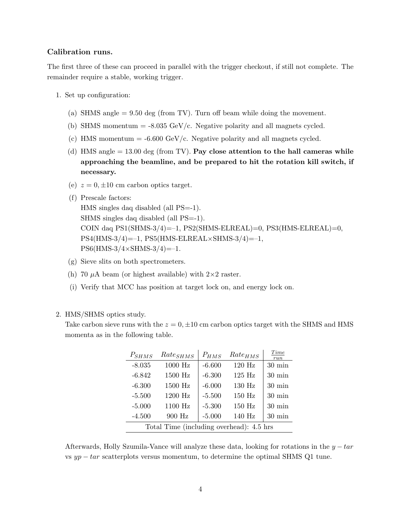#### Calibration runs.

The first three of these can proceed in parallel with the trigger checkout, if still not complete. The remainder require a stable, working trigger.

- 1. Set up configuration:
	- (a) SHMS angle = 9.50 deg (from TV). Turn off beam while doing the movement.
	- (b) SHMS momentum  $= -8.035$  GeV/c. Negative polarity and all magnets cycled.
	- (c) HMS momentum  $= -6.600 \text{ GeV/c}$ . Negative polarity and all magnets cycled.
	- (d) HMS angle  $= 13.00$  deg (from TV). Pay close attention to the hall cameras while approaching the beamline, and be prepared to hit the rotation kill switch, if necessary.
	- (e)  $z = 0, \pm 10$  cm carbon optics target.
	- (f) Prescale factors:

HMS singles daq disabled (all PS=-1). SHMS singles daq disabled (all PS=-1). COIN daq  $PS1(SHMS-3/4)=-1$ ,  $PS2(SHMS-ELREAL)=0$ ,  $PS3(HMS-ELREAL)=0$ ,  $PS4(HMS-3/4)=-1$ ,  $PS5(HMS-ELREAL\times SHMS-3/4)=-1$ ,  $PS6(HMS-3/4\times SHMS-3/4) = -1.$ 

- (g) Sieve slits on both spectrometers.
- (h) 70  $\mu$ A beam (or highest available) with  $2\times 2$  raster.
- (i) Verify that MCC has position at target lock on, and energy lock on.

#### 2. HMS/SHMS optics study.

Take carbon sieve runs with the  $z = 0, \pm 10$  cm carbon optics target with the SHMS and HMS momenta as in the following table.

| $P_{SHMS}$ | $Rate_{SHMS}$                            | $P_{HMS}$ | $Rate_{HMS}$ | Time<br>run      |
|------------|------------------------------------------|-----------|--------------|------------------|
| $-8.035$   | $1000\ \mathrm{Hz}$                      | $-6.600$  | 120 Hz       | $30 \text{ min}$ |
| $-6.842$   | 1500 Hz                                  | $-6.300$  | 125 Hz       | $30 \text{ min}$ |
| $-6.300$   | 1500 Hz                                  | $-6.000$  | 130 Hz       | $30 \text{ min}$ |
| $-5.500$   | 1200 Hz                                  | $-5.500$  | 150 Hz       | $30 \text{ min}$ |
| $-5.000$   | 1100 Hz                                  | $-5.300$  | 150 Hz       | $30 \text{ min}$ |
| $-4.500$   | 900 Hz                                   | $-5.000$  | 140 Hz       | $30 \text{ min}$ |
|            | Total Time (including overhead): 4.5 hrs |           |              |                  |

Afterwards, Holly Szumila-Vance will analyze these data, looking for rotations in the  $y - tar$ vs  $yp - tar$  scatterplots versus momentum, to determine the optimal SHMS Q1 tune.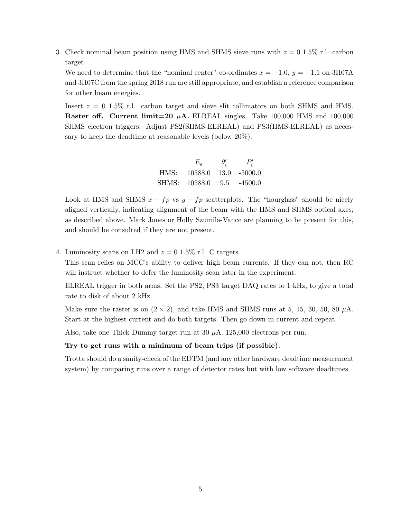3. Check nominal beam position using HMS and SHMS sieve runs with  $z = 0$  1.5% r.l. carbon target.

We need to determine that the "nominal center" co-ordinates  $x = -1.0$ ,  $y = -1.1$  on 3H07A and 3H07C from the spring 2018 run are still appropriate, and establish a reference comparison for other beam energies.

Insert  $z = 0$  1.5% r.l. carbon target and sieve slit collimators on both SHMS and HMS. **Raster off. Current limit=20**  $\mu$ **A.** ELREAL singles. Take 100,000 HMS and 100,000 SHMS electron triggers. Adjust PS2(SHMS-ELREAL) and PS3(HMS-ELREAL) as necessary to keep the deadtime at reasonable levels (below 20%).

|      | $E_{\rho}$    | $\theta_e'$ | P'              |
|------|---------------|-------------|-----------------|
| HMS: | 10588.0       |             | $13.0 - 5000.0$ |
|      | SHMS: 10588.0 | 9.5         | $-4500.0$       |

Look at HMS and SHMS  $x - fp$  vs  $y - fp$  scatterplots. The "hourglass" should be nicely aligned vertically, indicating alignment of the beam with the HMS and SHMS optical axes, as described above. Mark Jones or Holly Szumila-Vance are planning to be present for this, and should be consulted if they are not present.

4. Luminosity scans on LH2 and  $z = 0.15\%$  r.l. C targets.

This scan relies on MCC's ability to deliver high beam currents. If they can not, then RC will instruct whether to defer the luminosity scan later in the experiment.

ELREAL trigger in both arms. Set the PS2, PS3 target DAQ rates to 1 kHz, to give a total rate to disk of about 2 kHz.

Make sure the raster is on  $(2 \times 2)$ , and take HMS and SHMS runs at 5, 15, 30, 50, 80  $\mu$ A. Start at the highest current and do both targets. Then go down in current and repeat.

Also, take one Thick Dummy target run at 30 µA. 125,000 electrons per run.

#### Try to get runs with a minimum of beam trips (if possible).

Trotta should do a sanity-check of the EDTM (and any other hardware deadtime measurement system) by comparing runs over a range of detector rates but with low software deadtimes.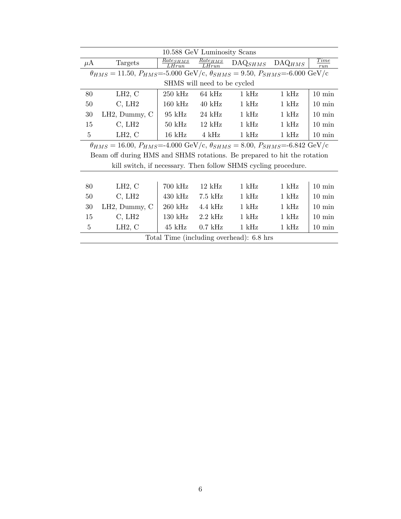|                | 10.588 GeV Luminosity Scans                                                                                 |                        |                       |                                          |                    |                  |  |  |  |  |
|----------------|-------------------------------------------------------------------------------------------------------------|------------------------|-----------------------|------------------------------------------|--------------------|------------------|--|--|--|--|
| $\mu$ A        | Targets                                                                                                     | $Rate_{SHMS}$<br>LHrun | $Rate_{HMS}$<br>LHrun | $\mathrm{DAQ}_{SHMS}$                    | $\text{DAQ}_{HMS}$ | Time<br>run      |  |  |  |  |
|                | $\theta_{HMS} = 11.50, P_{HMS} = 5.000$ GeV/c, $\theta_{SHMS} = 9.50, P_{SHMS} = 6.000$ GeV/c               |                        |                       |                                          |                    |                  |  |  |  |  |
|                | SHMS will need to be cycled                                                                                 |                        |                       |                                          |                    |                  |  |  |  |  |
| 80             | LH2, C                                                                                                      | $250 \text{ kHz}$      | $64 \text{ kHz}$      | $1 \text{ kHz}$                          | $1 \text{ kHz}$    | $10 \text{ min}$ |  |  |  |  |
| 50             | C, LH2                                                                                                      | $160 \text{ kHz}$      | $40 \text{ kHz}$      | $1 \text{ kHz}$                          | $1 \mathrm{kHz}$   | $10 \text{ min}$ |  |  |  |  |
| 30             | LH2, Dummy, C                                                                                               | $95 \text{ kHz}$       | $24$ kHz              | $1$ kHz                                  | $1 \text{ kHz}$    | $10 \text{ min}$ |  |  |  |  |
| 15             | C, LH2                                                                                                      | $50 \text{ kHz}$       | $12 \text{ kHz}$      | $1 \text{ kHz}$                          | $1 \mathrm{kHz}$   | $10 \text{ min}$ |  |  |  |  |
| 5              | LH2, C                                                                                                      | $16\ \mathrm{kHz}$     | $4$ kHz               | $1$ kHz                                  | $1$ kHz            | $10 \text{ min}$ |  |  |  |  |
|                | $\theta_{HMS} = 16.00, P_{HMS} = 4.000 \text{ GeV/c}, \theta_{SHMS} = 8.00, P_{SHMS} = 6.842 \text{ GeV/c}$ |                        |                       |                                          |                    |                  |  |  |  |  |
|                | Beam off during HMS and SHMS rotations. Be prepared to hit the rotation                                     |                        |                       |                                          |                    |                  |  |  |  |  |
|                | kill switch, if necessary. Then follow SHMS cycling procedure.                                              |                        |                       |                                          |                    |                  |  |  |  |  |
|                |                                                                                                             |                        |                       |                                          |                    |                  |  |  |  |  |
| 80             | LH2, C                                                                                                      | $700$ kHz              | $12 \text{ kHz}$      | $1 \mathrm{kHz}$                         | $1 \text{ kHz}$    | $10 \text{ min}$ |  |  |  |  |
| 50             | C, LH2                                                                                                      | $430 \text{ kHz}$      | $7.5$ kHz             | $1 \text{ kHz}$                          | $1 \mathrm{kHz}$   | $10 \text{ min}$ |  |  |  |  |
| 30             | $LH2$ , Dummy, C                                                                                            | $260$ kHz              | $4.4\;{\rm kHz}$      | $1 \text{ kHz}$                          | $1 \mathrm{kHz}$   | $10 \text{ min}$ |  |  |  |  |
| 15             | C, LH2                                                                                                      | $130 \text{ kHz}$      | $2.2$ kHz             | $1$ kHz                                  | $1 \mathrm{kHz}$   | $10 \text{ min}$ |  |  |  |  |
| $\overline{5}$ | LH2, C                                                                                                      | $45$ kHz               | $0.7$ kHz             | $1 \text{ kHz}$                          | $1 \text{ kHz}$    | $10 \text{ min}$ |  |  |  |  |
|                |                                                                                                             |                        |                       | Total Time (including overhead): 6.8 hrs |                    |                  |  |  |  |  |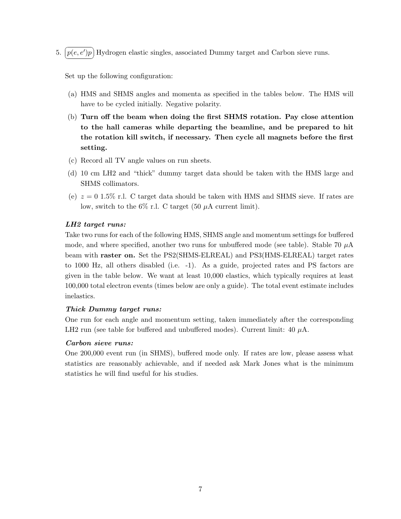5.  $\boxed{p(e, e')p}$  Hydrogen elastic singles, associated Dummy target and Carbon sieve runs. ✝ ✆

Set up the following configuration:

- (a) HMS and SHMS angles and momenta as specified in the tables below. The HMS will have to be cycled initially. Negative polarity.
- (b) Turn off the beam when doing the first SHMS rotation. Pay close attention to the hall cameras while departing the beamline, and be prepared to hit the rotation kill switch, if necessary. Then cycle all magnets before the first setting.
- (c) Record all TV angle values on run sheets.
- (d) 10 cm LH2 and "thick" dummy target data should be taken with the HMS large and SHMS collimators.
- (e)  $z = 0.15\%$  r.l. C target data should be taken with HMS and SHMS sieve. If rates are low, switch to the  $6\%$  r.l. C target (50  $\mu$ A current limit).

## LH2 target runs:

Take two runs for each of the following HMS, SHMS angle and momentum settings for buffered mode, and where specified, another two runs for unbuffered mode (see table). Stable 70  $\mu$ A beam with raster on. Set the PS2(SHMS-ELREAL) and PS3(HMS-ELREAL) target rates to 1000 Hz, all others disabled (i.e. -1). As a guide, projected rates and PS factors are given in the table below. We want at least 10,000 elastics, which typically requires at least 100,000 total electron events (times below are only a guide). The total event estimate includes inelastics.

## Thick Dummy target runs:

One run for each angle and momentum setting, taken immediately after the corresponding LH2 run (see table for buffered and unbuffered modes). Current limit: 40  $\mu$ A.

### Carbon sieve runs:

One 200,000 event run (in SHMS), buffered mode only. If rates are low, please assess what statistics are reasonably achievable, and if needed ask Mark Jones what is the minimum statistics he will find useful for his studies.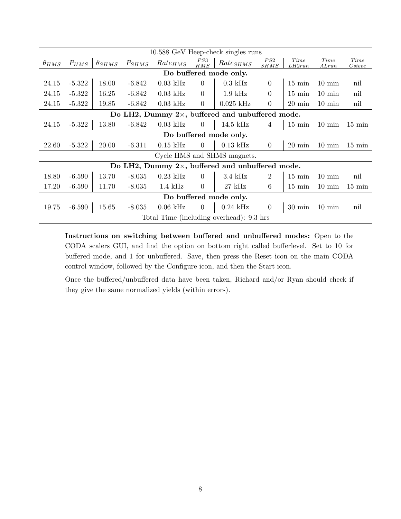|                                                          | 10.588 GeV Heep-check singles runs |                 |            |                     |                   |                                                          |                    |                  |                              |                                    |  |
|----------------------------------------------------------|------------------------------------|-----------------|------------|---------------------|-------------------|----------------------------------------------------------|--------------------|------------------|------------------------------|------------------------------------|--|
| $\theta_{HMS}$                                           | $P_{HMS}$                          | $\theta_{SHMS}$ | $P_{SHMS}$ | $Rate_{HMS}$        | $\frac{PS3}{HMS}$ | $Rate_{SHMS}$                                            | $\frac{PS2}{SHMS}$ | Time<br>LH2run   | Time<br>$\overline{A L run}$ | Time<br>$\overline{C\text{sieve}}$ |  |
| Do buffered mode only.                                   |                                    |                 |            |                     |                   |                                                          |                    |                  |                              |                                    |  |
| 24.15                                                    | $-5.322$                           | 18.00           | $-6.842$   | $0.03$ kHz          | $\overline{0}$    | $0.3$ kHz                                                | $\overline{0}$     | $15 \text{ min}$ | $10 \text{ min}$             | nil                                |  |
| 24.15                                                    | $-5.322$                           | 16.25           | $-6.842$   | $0.03$ kHz          | $\overline{0}$    | $1.9$ kHz                                                | $\overline{0}$     | $15 \text{ min}$ | $10 \text{ min}$             | nil                                |  |
| 24.15                                                    | $-5.322$                           | 19.85           | $-6.842$   | $0.03$ kHz          | $\overline{0}$    | $0.025$ kHz                                              | $\overline{0}$     | $20 \text{ min}$ | $10 \text{ min}$             | nil                                |  |
| Do LH2, Dummy $2 \times$ , buffered and unbuffered mode. |                                    |                 |            |                     |                   |                                                          |                    |                  |                              |                                    |  |
| 24.15                                                    | $-5.322$                           | 13.80           | $-6.842$   | $0.03$ kHz          | $\overline{0}$    | $14.5$ kHz                                               | 4                  | $15 \text{ min}$ | $10 \text{ min}$             | $15 \text{ min}$                   |  |
| Do buffered mode only.                                   |                                    |                 |            |                     |                   |                                                          |                    |                  |                              |                                    |  |
| 22.60                                                    | $-5.322$                           | 20.00           | $-6.311$   | $0.15$ kHz          | $\overline{0}$    | $0.13$ kHz                                               | $\theta$           | $20 \text{ min}$ | $10 \text{ min}$             | $15 \text{ min}$                   |  |
|                                                          |                                    |                 |            |                     |                   | Cycle HMS and SHMS magnets.                              |                    |                  |                              |                                    |  |
|                                                          |                                    |                 |            |                     |                   | Do LH2, Dummy $2 \times$ , buffered and unbuffered mode. |                    |                  |                              |                                    |  |
| 18.80                                                    | $-6.590$                           | 13.70           | $-8.035$   | $0.23$ kHz          | $\Omega$          | $3.4$ kHz                                                | $\overline{2}$     | $15 \text{ min}$ | $10 \text{ min}$             | nil                                |  |
| 17.20                                                    | $-6.590$                           | 11.70           | $-8.035$   | $1.4\ \mathrm{kHz}$ | $\overline{0}$    | $27~\mathrm{kHz}$                                        | $6\phantom{.}6$    | $15 \text{ min}$ | $10 \text{ min}$             | $15 \text{ min}$                   |  |
|                                                          |                                    |                 |            |                     |                   | Do buffered mode only.                                   |                    |                  |                              |                                    |  |
| 19.75                                                    | $-6.590$                           | 15.65           | $-8.035$   | $0.06$ kHz          | $\overline{0}$    | $0.24$ kHz                                               | $\overline{0}$     | $30 \text{ min}$ | $10 \text{ min}$             | nil                                |  |
|                                                          |                                    |                 |            |                     |                   | Total Time (including overhead): 9.3 hrs                 |                    |                  |                              |                                    |  |

Instructions on switching between buffered and unbuffered modes: Open to the CODA scalers GUI, and find the option on bottom right called bufferlevel. Set to 10 for buffered mode, and 1 for unbuffered. Save, then press the Reset icon on the main CODA control window, followed by the Configure icon, and then the Start icon.

Once the buffered/unbuffered data have been taken, Richard and/or Ryan should check if they give the same normalized yields (within errors).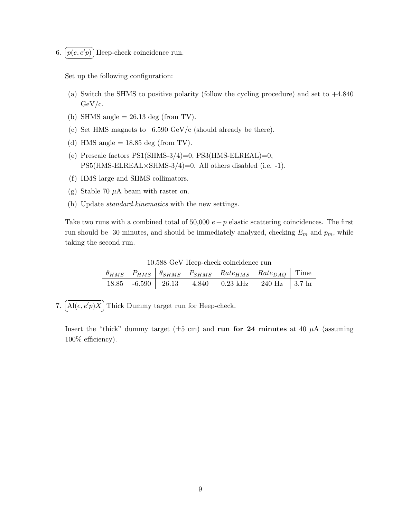$6. (p$ ✝ ☎ ✆  $p(e, e'p)$  Heep-check coincidence run.

Set up the following configuration:

- (a) Switch the SHMS to positive polarity (follow the cycling procedure) and set to +4.840 GeV/c.
- (b) SHMS angle  $= 26.13$  deg (from TV).
- (c) Set HMS magnets to  $-6.590 \text{ GeV/c}$  (should already be there).
- (d) HMS angle  $= 18.85$  deg (from TV).
- (e) Prescale factors  $PS1(SHMS-3/4)=0$ ,  $PS3(HMS-ELREAL)=0$ , PS5(HMS-ELREAL×SHMS-3/4)=0. All others disabled (i.e. -1).
- (f) HMS large and SHMS collimators.
- (g) Stable 70  $\mu$ A beam with raster on.
- (h) Update standard.kinematics with the new settings.

Take two runs with a combined total of 50,000  $e + p$  elastic scattering coincidences. The first run should be 30 minutes, and should be immediately analyzed, checking  $E_m$  and  $p_m$ , while taking the second run.

| 10.000 Ger Heep cheen conference run |  |  |  |                                                                                    |  |  |  |  |  |
|--------------------------------------|--|--|--|------------------------------------------------------------------------------------|--|--|--|--|--|
|                                      |  |  |  | $\theta_{HMS}$ $P_{HMS}$ $\theta_{SHMS}$ $P_{SHMS}$ $Rate_{HMS}$ $Rate_{DAQ}$ Time |  |  |  |  |  |
|                                      |  |  |  | 18.85 -6.590   26.13 - 4.840   0.23 kHz 240 Hz   3.7 hr                            |  |  |  |  |  |

10.588 GeV Heep-check coincidence run

7.  $\overline{c}$ ✝  $\overline{a}$ ✆  $\text{Al}(e, e'p)X$  Thick Dummy target run for Heep-check.

Insert the "thick" dummy target ( $\pm 5$  cm) and run for 24 minutes at 40  $\mu$ A (assuming 100% efficiency).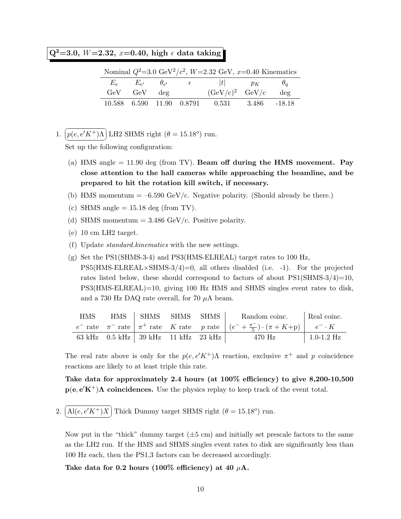$Q^2=3.0, W=2.32, x=0.40, \text{ high } \epsilon \text{ data taking }$ 

|                   |  | Nominal $Q^2$ =3.0 GeV <sup>2</sup> /c <sup>2</sup> , W=2.32 GeV, x=0.40 Kinematics |        |
|-------------------|--|-------------------------------------------------------------------------------------|--------|
|                   |  | $E_e$ $E_{e'}$ $\theta_{e'}$ $\epsilon$ $ t $ $p_K$ $\theta_q$                      |        |
| $GeV$ $GeV$ $deg$ |  | $(GeV/c)^2$ $GeV/c$                                                                 | $\deg$ |
|                   |  | 10.588 6.590 11.90 0.8791 0.531 3.486 -18.18                                        |        |

1.  $\overline{a}$ ✝ ☎ ✆  $p(e, e'K^+)$ Λ LH2 SHMS right  $(\theta = 15.18^o)$  run.

Set up the following configuration:

- (a) HMS angle  $= 11.90$  deg (from TV). Beam off during the HMS movement. Pay close attention to the hall cameras while approaching the beamline, and be prepared to hit the rotation kill switch, if necessary.
- (b) HMS momentum  $= -6.590 \text{ GeV/c}$ . Negative polarity. (Should already be there.)
- (c) SHMS angle  $= 15.18$  deg (from TV).
- (d) SHMS momentum  $= 3.486 \text{ GeV/c}$ . Positive polarity.
- (e) 10 cm LH2 target.
- (f) Update standard.kinematics with the new settings.
- $(g)$  Set the PS1(SHMS-3-4) and PS3(HMS-ELREAL) target rates to 100 Hz,  $\text{PS5(HMS-ELREAL}\times\text{SHMS-3/4})=0$ , all others disabled (i.e. -1). For the projected rates listed below, these should correspond to factors of about  $PS1(SHMS-3/4)=10$ , PS3(HMS-ELREAL)=10, giving 100 Hz HMS and SHMS singles event rates to disk, and a 730 Hz DAQ rate overall, for 70  $\mu$ A beam.

| <b>HMS</b> | HMS SHMS SHMS SHMS                    |  | Random coinc. Real coinc.                                                                                      |                |
|------------|---------------------------------------|--|----------------------------------------------------------------------------------------------------------------|----------------|
|            |                                       |  | $e^-$ rate $\pi^-$ rate $\pi^+$ rate K rate p rate $(e^- + \frac{\pi^-}{5}) \cdot (\pi + K + p)$ $e^- \cdot K$ |                |
|            | 63 kHz 0.5 kHz   39 kHz 11 kHz 23 kHz |  | 470 Hz                                                                                                         | $1.0 - 1.2$ Hz |

The real rate above is only for the  $p(e, e'K^+)$ Λ reaction, exclusive  $\pi^+$  and p coincidence reactions are likely to at least triple this rate.

Take data for approximately 2.4 hours (at 100% efficiency) to give 8,200-10,500  $p(e, e'K^+)$ A coincidences. Use the physics replay to keep track of the event total.

2.  $\overline{C}$ ✝  $\ddot{\phantom{0}}$ ✆  $\text{Al}(e, e'K^+)X$  Thick Dummy target SHMS right  $(\theta = 15.18^{\circ})$  run.

Now put in the "thick" dummy target  $(\pm 5 \text{ cm})$  and initially set prescale factors to the same as the LH2 run. If the HMS and SHMS singles event rates to disk are significantly less than 100 Hz each, then the PS1,3 factors can be decreased accordingly.

Take data for 0.2 hours (100% efficiency) at 40  $\mu$ A.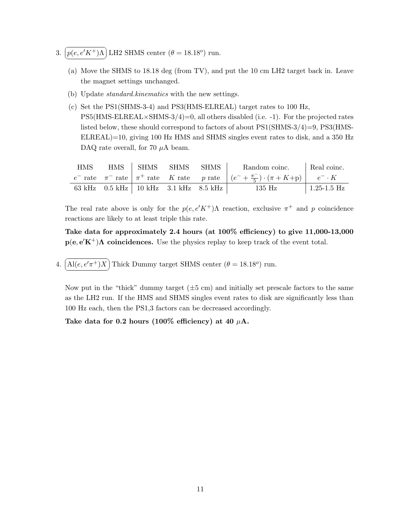- 3.  $\overline{a}$ ✝ ☎ ✆  $p(e, e'K^+)$ Λ LH2 SHMS center  $(\theta = 18.18^o)$  run.
	- (a) Move the SHMS to 18.18 deg (from TV), and put the 10 cm LH2 target back in. Leave the magnet settings unchanged.
	- (b) Update standard.kinematics with the new settings.
	- (c) Set the PS1(SHMS-3-4) and PS3(HMS-ELREAL) target rates to 100 Hz,  $\text{PS5(HMS-ELREAL} \times \text{SHMS-3/4}) = 0$ , all others disabled (i.e. -1). For the projected rates listed below, these should correspond to factors of about PS1(SHMS-3/4)=9, PS3(HMS-ELREAL)=10, giving 100 Hz HMS and SHMS singles event rates to disk, and a 350 Hz DAQ rate overall, for 70  $\mu$ A beam.

| <b>HMS</b> | HMS SHMS SHMS                                       | SHMS | Random coinc.                                                                                                  | Real coinc.         |
|------------|-----------------------------------------------------|------|----------------------------------------------------------------------------------------------------------------|---------------------|
|            |                                                     |      | $e^-$ rate $\pi^-$ rate $\pi^+$ rate K rate p rate $(e^- + \frac{\pi^-}{5}) \cdot (\pi + K + p)$ $e^- \cdot K$ |                     |
|            | 63 kHz $0.5$ kHz $\vert$ 10 kHz $3.1$ kHz $8.5$ kHz |      | 135 Hz                                                                                                         | $\vert$ 1.25-1.5 Hz |

Take data for approximately 2.4 hours (at 100% efficiency) to give 11,000-13,000  $p(e, e'K^+)$ A coincidences. Use the physics replay to keep track of the event total.

4.  $\widehat{A l(e, e'\pi^+) X}$  Thick Dummy target SHMS center  $(\theta = 18.18^o)$  run. ✝ ✆

Now put in the "thick" dummy target  $(\pm 5 \text{ cm})$  and initially set prescale factors to the same as the LH2 run. If the HMS and SHMS singles event rates to disk are significantly less than 100 Hz each, then the PS1,3 factors can be decreased accordingly.

Take data for 0.2 hours (100% efficiency) at 40  $\mu$ A.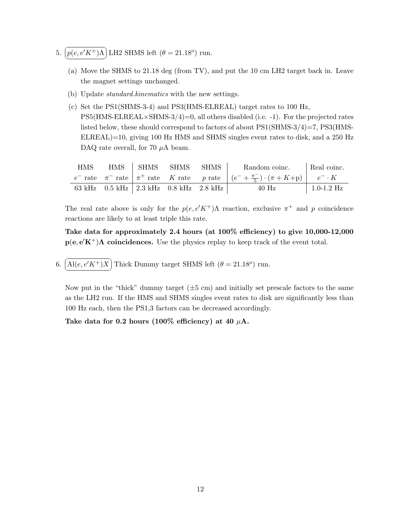- 5.  $\boxed{p(e, e'K^+) \Lambda}$  LH2 SHMS left  $(\theta = 21.18^o)$  run. ✝ ✆
	- (a) Move the SHMS to 21.18 deg (from TV), and put the 10 cm LH2 target back in. Leave the magnet settings unchanged.
	- (b) Update standard.kinematics with the new settings.
	- (c) Set the PS1(SHMS-3-4) and PS3(HMS-ELREAL) target rates to 100 Hz,  $\text{PS5(HMS-ELREAL} \times \text{SHMS-3/4}) = 0$ , all others disabled (i.e. -1). For the projected rates listed below, these should correspond to factors of about PS1(SHMS-3/4)=7, PS3(HMS-ELREAL)=10, giving 100 Hz HMS and SHMS singles event rates to disk, and a 250 Hz DAQ rate overall, for 70  $\mu$ A beam.

| <b>HMS</b> | HMS SHMS SHMS                                      | SHMS | Random coinc.                                                                                                  | Real coinc.    |
|------------|----------------------------------------------------|------|----------------------------------------------------------------------------------------------------------------|----------------|
|            |                                                    |      | $e^-$ rate $\pi^-$ rate $\pi^+$ rate K rate p rate $(e^- + \frac{\pi^-}{5}) \cdot (\pi + K + p)$ $e^- \cdot K$ |                |
|            | 63 kHz $0.5$ kHz $\vert$ 2.3 kHz $0.8$ kHz 2.8 kHz |      | $40$ Hz                                                                                                        | $1.0 - 1.2$ Hz |

Take data for approximately 2.4 hours (at 100% efficiency) to give 10,000-12,000  $p(e, e'K^+)$ A coincidences. Use the physics replay to keep track of the event total.

6.  $\widehat{A l(e, e'K^+)X}$  Thick Dummy target SHMS left  $(\theta = 21.18^o)$  run. ✝ ✆

Now put in the "thick" dummy target  $(\pm 5 \text{ cm})$  and initially set prescale factors to the same as the LH2 run. If the HMS and SHMS singles event rates to disk are significantly less than 100 Hz each, then the PS1,3 factors can be decreased accordingly.

Take data for 0.2 hours (100% efficiency) at 40  $\mu$ A.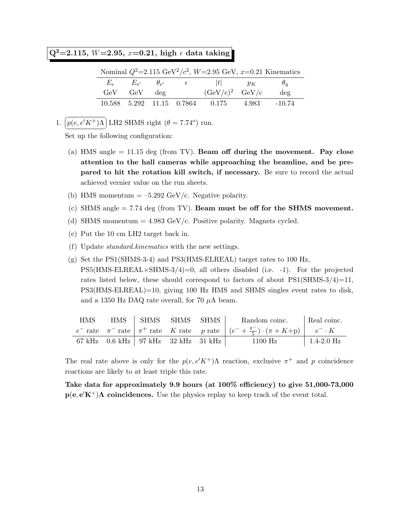# $Q^2=2.115, W=2.95, x=0.21, high \in data taking$

| Nominal $Q^2 = 2.115 \text{ GeV}^2/c^2$ , $W = 2.95 \text{ GeV}$ , $x = 0.21 \text{ Kinematics}$ |                   |  |  |                                                     |  |              |  |  |
|--------------------------------------------------------------------------------------------------|-------------------|--|--|-----------------------------------------------------|--|--------------|--|--|
|                                                                                                  |                   |  |  | $E_e$ $E_{e'}$ $\theta_{e'}$ $\epsilon$ $ t $ $p_K$ |  | $\theta_a$   |  |  |
|                                                                                                  | $GeV$ $GeV$ $deg$ |  |  | $(GeV/c)^2$ $GeV/c$                                 |  | $\text{deg}$ |  |  |
|                                                                                                  |                   |  |  | 10.588 5.292 11.15 0.7864 0.175 4.983 -10.74        |  |              |  |  |

1.  $\boxed{p(e, e'K^+) \Lambda}$  LH2 SHMS right  $(\theta = 7.74^o)$  run. ✝ ✆

Set up the following configuration:

- (a) HMS angle  $= 11.15$  deg (from TV). Beam off during the movement. Pay close attention to the hall cameras while approaching the beamline, and be prepared to hit the rotation kill switch, if necessary. Be sure to record the actual achieved vernier value on the run sheets.
- (b) HMS momentum  $= -5.292$  GeV/c. Negative polarity.
- (c) SHMS angle  $= 7.74$  deg (from TV). Beam must be off for the SHMS movement.
- (d) SHMS momentum  $= 4.983$  GeV/c. Positive polarity. Magnets cycled.
- (e) Put the 10 cm LH2 target back in.
- (f) Update standard.kinematics with the new settings.
- (g) Set the PS1(SHMS-3-4) and PS3(HMS-ELREAL) target rates to 100 Hz,  $PS5(HMS-ELREAL\times SHMS-3/4)=0$ , all others disabled (i.e. -1). For the projected rates listed below, these should correspond to factors of about  $PS1(SHMS-3/4)=11$ , PS3(HMS-ELREAL)=10, giving 100 Hz HMS and SHMS singles event rates to disk, and a 1350 Hz DAQ rate overall, for 70  $\mu$ A beam.

| <b>HMS</b> | HMS SHMS SHMS SHMS                                      |  | Random coinc.                                                                                                  | Real coinc.  |
|------------|---------------------------------------------------------|--|----------------------------------------------------------------------------------------------------------------|--------------|
|            |                                                         |  | $e^-$ rate $\pi^-$ rate $\pi^+$ rate K rate p rate $(e^- + \frac{\pi^-}{5}) \cdot (\pi + K + p)$ $e^- \cdot K$ |              |
|            | 67 kHz $0.6$ kHz $\vert$ 97 kHz $32$ kHz 31 kHz $\vert$ |  | 1100 Hz                                                                                                        | $1.4-2.0$ Hz |

The real rate above is only for the  $p(e, e'K^+)$ Λ reaction, exclusive  $\pi^+$  and p coincidence reactions are likely to at least triple this rate.

Take data for approximately 9.9 hours (at 100% efficiency) to give 51,000-73,000  $p(e, e'K^+)$ A coincidences. Use the physics replay to keep track of the event total.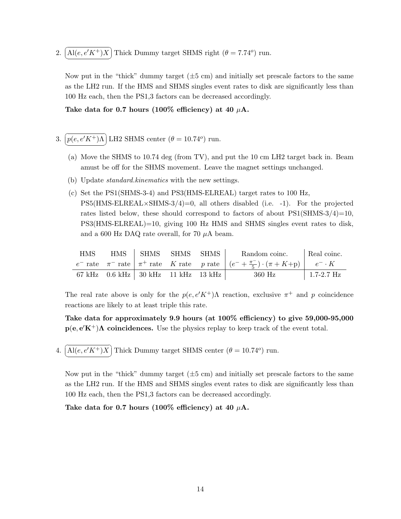2.  $\boxed{\text{Al}(e, e'K^+)X}$  Thick Dummy target SHMS right  $(\theta = 7.74^o)$  run. ✝ ✆

Now put in the "thick" dummy target  $(\pm 5 \text{ cm})$  and initially set prescale factors to the same as the LH2 run. If the HMS and SHMS singles event rates to disk are significantly less than 100 Hz each, then the PS1,3 factors can be decreased accordingly.

Take data for 0.7 hours (100% efficiency) at 40  $\mu$ A.

- 3.  $\overline{a}$ ✝ ☎ ✆  $p(e, e'K^+)$ Λ LH2 SHMS center  $(\theta = 10.74^o)$  run.
	- (a) Move the SHMS to 10.74 deg (from TV), and put the 10 cm LH2 target back in. Beam amust be off for the SHMS movement. Leave the magnet settings unchanged.
	- (b) Update standard.kinematics with the new settings.
	- (c) Set the PS1(SHMS-3-4) and PS3(HMS-ELREAL) target rates to 100 Hz,  $PS5(HMS-ELREAL\times SHMS-3/4)=0$ , all others disabled (i.e. -1). For the projected rates listed below, these should correspond to factors of about  $PS1(SHMS-3/4)=10$ , PS3(HMS-ELREAL)=10, giving 100 Hz HMS and SHMS singles event rates to disk, and a 600 Hz DAQ rate overall, for 70  $\mu$ A beam.

| <b>HMS</b> | HMS SHMS SHMS SHMS                                      |  | Random coinc.                                                                                                  | Real coinc.  |
|------------|---------------------------------------------------------|--|----------------------------------------------------------------------------------------------------------------|--------------|
|            |                                                         |  | $e^-$ rate $\pi^-$ rate $\pi^+$ rate K rate p rate $(e^- + \frac{\pi^-}{5}) \cdot (\pi + K + p)$ $e^- \cdot K$ |              |
|            | 67 kHz $0.6$ kHz $\mid$ 30 kHz $11$ kHz $13$ kHz $\mid$ |  | 360 Hz                                                                                                         | $1.7-2.7$ Hz |

The real rate above is only for the  $p(e, e'K^+)$ Λ reaction, exclusive  $\pi^+$  and p coincidence reactions are likely to at least triple this rate.

Take data for approximately 9.9 hours (at 100% efficiency) to give 59,000-95,000  $p(e, e'K^+)$ A coincidences. Use the physics replay to keep track of the event total.

4.  $\widehat{A l(e, e'K^+)X}$  Thick Dummy target SHMS center  $(\theta = 10.74^o)$  run. ✝ ✆

Now put in the "thick" dummy target  $(\pm 5 \text{ cm})$  and initially set prescale factors to the same as the LH2 run. If the HMS and SHMS singles event rates to disk are significantly less than 100 Hz each, then the PS1,3 factors can be decreased accordingly.

Take data for 0.7 hours (100% efficiency) at 40  $\mu$ A.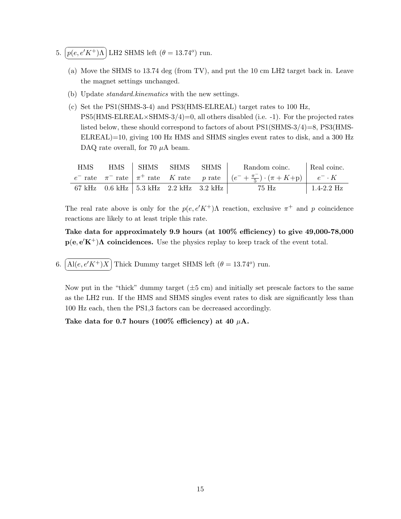- 5.  $\boxed{p(e, e'K^+) \Lambda}$  LH2 SHMS left  $(\theta = 13.74^o)$  run. ✝ ✆
	- (a) Move the SHMS to 13.74 deg (from TV), and put the 10 cm LH2 target back in. Leave the magnet settings unchanged.
	- (b) Update standard.kinematics with the new settings.
	- (c) Set the PS1(SHMS-3-4) and PS3(HMS-ELREAL) target rates to 100 Hz,  $\text{PS5(HMS-ELREAL} \times \text{SHMS-3/4}) = 0$ , all others disabled (i.e. -1). For the projected rates listed below, these should correspond to factors of about PS1(SHMS-3/4)=8, PS3(HMS-ELREAL)=10, giving 100 Hz HMS and SHMS singles event rates to disk, and a 300 Hz DAQ rate overall, for 70  $\mu$ A beam.

| <b>HMS</b> | HMS SHMS SHMS SHMS<br>Random coinc.                  |  |  | Real coinc.                                                                                                    |                |
|------------|------------------------------------------------------|--|--|----------------------------------------------------------------------------------------------------------------|----------------|
|            |                                                      |  |  | $e^-$ rate $\pi^-$ rate $\pi^+$ rate K rate p rate $(e^- + \frac{\pi^-}{5}) \cdot (\pi + K + p)$ $e^- \cdot K$ |                |
|            | 67 kHz $0.6$ kHz $\vert$ 5.3 kHz $2.2$ kHz $3.2$ kHz |  |  | 75 Hz                                                                                                          | $1.4 - 2.2$ Hz |

Take data for approximately 9.9 hours (at 100% efficiency) to give 49,000-78,000  $p(e, e'K^+)$ A coincidences. Use the physics replay to keep track of the event total.

6.  $\widehat{A l(e, e'K^+)X}$  Thick Dummy target SHMS left  $(\theta = 13.74^o)$  run. ✝ ✆

Now put in the "thick" dummy target  $(\pm 5 \text{ cm})$  and initially set prescale factors to the same as the LH2 run. If the HMS and SHMS singles event rates to disk are significantly less than 100 Hz each, then the PS1,3 factors can be decreased accordingly.

Take data for 0.7 hours (100% efficiency) at 40  $\mu$ A.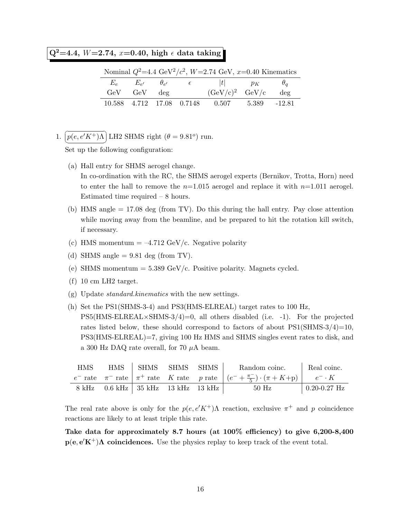$\overline{{\rm Q}^2{=}4}.4,$   $W{=}2.74,$   $x{=}0.40,$  high  $\epsilon$  data taking

| Nominal $Q^2$ =4.4 GeV <sup>2</sup> / $c^2$ , W=2.74 GeV, x=0.40 Kinematics |  |  |                                                                |  |        |  |  |  |
|-----------------------------------------------------------------------------|--|--|----------------------------------------------------------------|--|--------|--|--|--|
|                                                                             |  |  | $E_e$ $E_{e'}$ $\theta_{e'}$ $\epsilon$ $ t $ $p_K$ $\theta_q$ |  |        |  |  |  |
| $GeV$ $GeV$ $deg$                                                           |  |  | $(GeV/c)^2$ $GeV/c$                                            |  | $\deg$ |  |  |  |
|                                                                             |  |  | 10.588 4.712 17.08 0.7148 0.507 5.389 -12.81                   |  |        |  |  |  |

1.  $\overline{a}$ ✝ ☎ ✆  $p(e, e'K^+)$ Λ LH2 SHMS right  $(\theta = 9.81^o)$  run.

Set up the following configuration:

(a) Hall entry for SHMS aerogel change.

In co-ordination with the RC, the SHMS aerogel experts (Bernikov, Trotta, Horn) need to enter the hall to remove the  $n=1.015$  aerogel and replace it with  $n=1.011$  aerogel. Estimated time required – 8 hours.

- (b) HMS angle = 17.08 deg (from TV). Do this during the hall entry. Pay close attention while moving away from the beamline, and be prepared to hit the rotation kill switch, if necessary.
- (c) HMS momentum  $= -4.712 \text{ GeV/c}$ . Negative polarity
- (d) SHMS angle  $= 9.81$  deg (from TV).
- (e) SHMS momentum  $= 5.389 \text{ GeV/c}$ . Positive polarity. Magnets cycled.
- (f) 10 cm LH2 target.
- (g) Update standard.kinematics with the new settings.
- (h) Set the PS1(SHMS-3-4) and PS3(HMS-ELREAL) target rates to 100 Hz,  $PS5(HMS-ELREAL\times SHMS-3/4)=0$ , all others disabled (i.e. -1). For the projected rates listed below, these should correspond to factors of about  $PS1(SHMS-3/4)=10$ , PS3(HMS-ELREAL)=7, giving 100 Hz HMS and SHMS singles event rates to disk, and a 300 Hz DAQ rate overall, for 70  $\mu$ A beam.

| <b>HMS</b> | HMS – | SHMS SHMS SHMS                       |  | Random coinc.                                                                                                  | Real coinc.      |
|------------|-------|--------------------------------------|--|----------------------------------------------------------------------------------------------------------------|------------------|
|            |       |                                      |  | $e^-$ rate $\pi^-$ rate $\pi^+$ rate K rate p rate $(e^- + \frac{\pi^-}{5}) \cdot (\pi + K + p)$ $e^- \cdot K$ |                  |
|            |       | 8 kHz 0.6 kHz   35 kHz 13 kHz 13 kHz |  | 50 Hz                                                                                                          | $0.20 - 0.27$ Hz |

The real rate above is only for the  $p(e, e'K^+)$ Λ reaction, exclusive  $\pi^+$  and p coincidence reactions are likely to at least triple this rate.

Take data for approximately 8.7 hours (at 100% efficiency) to give 6,200-8,400  $p(e, e'K^+)$ A coincidences. Use the physics replay to keep track of the event total.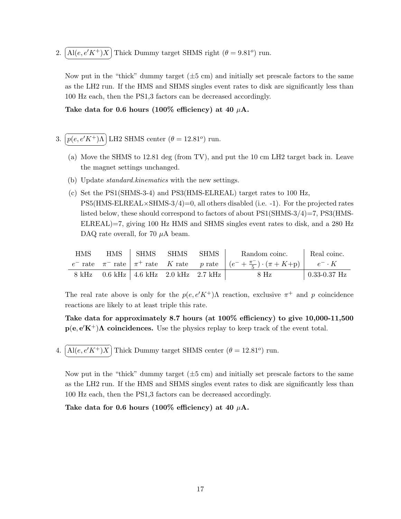2.  $\boxed{\text{Al}(e, e'K^+)X}$  Thick Dummy target SHMS right  $(\theta = 9.81^o)$  run. ✝ ✆

Now put in the "thick" dummy target  $(\pm 5 \text{ cm})$  and initially set prescale factors to the same as the LH2 run. If the HMS and SHMS singles event rates to disk are significantly less than 100 Hz each, then the PS1,3 factors can be decreased accordingly.

Take data for 0.6 hours (100% efficiency) at 40  $\mu$ A.

- 3.  $\boxed{p(e, e'K^+) \Lambda}$  LH2 SHMS center  $(\theta = 12.81^o)$  run. ✝ ✆
	- (a) Move the SHMS to 12.81 deg (from TV), and put the 10 cm LH2 target back in. Leave the magnet settings unchanged.
	- (b) Update standard.kinematics with the new settings.
	- (c) Set the PS1(SHMS-3-4) and PS3(HMS-ELREAL) target rates to 100 Hz,  $\text{PS5(HMS-ELREAL} \times \text{SHMS-3/4}) = 0$ , all others disabled (i.e. -1). For the projected rates listed below, these should correspond to factors of about PS1(SHMS-3/4)=7, PS3(HMS-ELREAL)=7, giving 100 Hz HMS and SHMS singles event rates to disk, and a 280 Hz DAQ rate overall, for 70  $\mu$ A beam.

| HMS | HMS | ∣ SHMS                                  | SHMS | SHMS | Random coinc.                                                                                                  | Real coinc.      |
|-----|-----|-----------------------------------------|------|------|----------------------------------------------------------------------------------------------------------------|------------------|
|     |     |                                         |      |      | $e^-$ rate $\pi^-$ rate $\pi^+$ rate K rate p rate $(e^- + \frac{\pi^-}{5}) \cdot (\pi + K + p)$ $e^- \cdot K$ |                  |
|     |     | 8 kHz 0.6 kHz   4.6 kHz 2.0 kHz 2.7 kHz |      |      | $8$ Hz                                                                                                         | $0.33 - 0.37$ Hz |

The real rate above is only for the  $p(e, e'K^+)$ Λ reaction, exclusive  $\pi^+$  and p coincidence reactions are likely to at least triple this rate.

Take data for approximately 8.7 hours (at 100% efficiency) to give 10,000-11,500  $p(e, e'K^+)$ A coincidences. Use the physics replay to keep track of the event total.

4.  $\widehat{A l(e, e'K^+)X}$  Thick Dummy target SHMS center  $(\theta = 12.81^o)$  run. ✝ ✆

Now put in the "thick" dummy target  $(\pm 5 \text{ cm})$  and initially set prescale factors to the same as the LH2 run. If the HMS and SHMS singles event rates to disk are significantly less than 100 Hz each, then the PS1,3 factors can be decreased accordingly.

Take data for 0.6 hours (100% efficiency) at 40  $\mu$ A.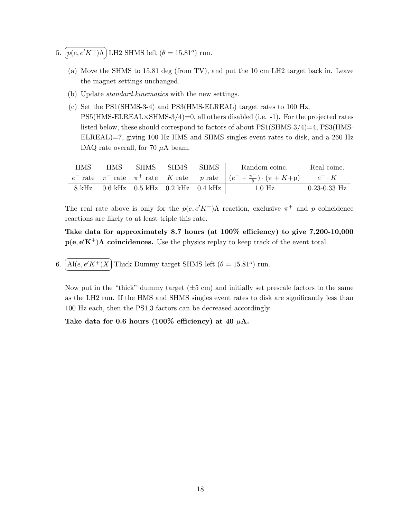- 5.  $\boxed{p(e, e'K^+) \Lambda}$  LH2 SHMS left  $(\theta = 15.81^o)$  run. ✝ ✆
	- (a) Move the SHMS to 15.81 deg (from TV), and put the 10 cm LH2 target back in. Leave the magnet settings unchanged.
	- (b) Update standard.kinematics with the new settings.
	- (c) Set the PS1(SHMS-3-4) and PS3(HMS-ELREAL) target rates to 100 Hz,  $\text{PS5(HMS-ELREAL} \times \text{SHMS-3/4}) = 0$ , all others disabled (i.e. -1). For the projected rates listed below, these should correspond to factors of about PS1(SHMS-3/4)=4, PS3(HMS-ELREAL)=7, giving 100 Hz HMS and SHMS singles event rates to disk, and a 260 Hz DAQ rate overall, for 70  $\mu$ A beam.

| <b>HMS</b> | HMS SHMS SHMS SHMS                      |  | Random coinc.                                                                                                  | Real coinc.          |
|------------|-----------------------------------------|--|----------------------------------------------------------------------------------------------------------------|----------------------|
|            |                                         |  | $e^-$ rate $\pi^-$ rate $\pi^+$ rate K rate p rate $(e^- + \frac{\pi^-}{5}) \cdot (\pi + K + p)$ $e^- \cdot K$ |                      |
|            | 8 kHz 0.6 kHz   0.5 kHz 0.2 kHz 0.4 kHz |  | $1.0$ Hz                                                                                                       | $\vert$ 0.23-0.33 Hz |

Take data for approximately 8.7 hours (at 100% efficiency) to give 7,200-10,000  $p(e, e'K^+)$ A coincidences. Use the physics replay to keep track of the event total.

6.  $\widehat{A l(e, e'K^+)X}$  Thick Dummy target SHMS left  $(\theta = 15.81^o)$  run. ✝ ✆

Now put in the "thick" dummy target  $(\pm 5 \text{ cm})$  and initially set prescale factors to the same as the LH2 run. If the HMS and SHMS singles event rates to disk are significantly less than 100 Hz each, then the PS1,3 factors can be decreased accordingly.

Take data for 0.6 hours (100% efficiency) at 40  $\mu$ A.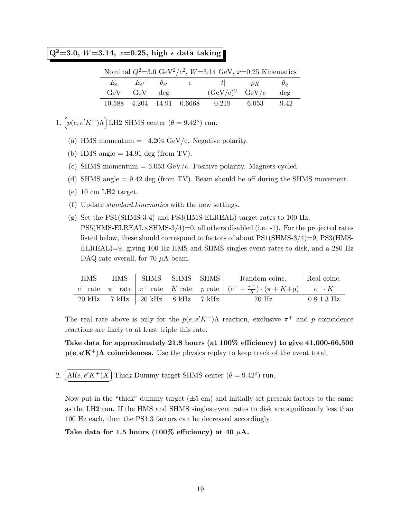# $Q^2 = 3.0, W = 3.14, x = 0.25, high \in data taking$

|                   |  | Nominal $Q^2$ =3.0 GeV <sup>2</sup> / $c^2$ , W=3.14 GeV, x=0.25 Kinematics |     |
|-------------------|--|-----------------------------------------------------------------------------|-----|
|                   |  | $E_e$ $E_{e'}$ $\theta_{e'}$ $\epsilon$ $ t $ $p_K$ $\theta_q$              |     |
| $GeV$ $GeV$ $deg$ |  | $(GeV/c)^2$ $GeV/c$                                                         | deg |
|                   |  | 10.588 4.204 14.91 0.6668 0.219 6.053 -9.42                                 |     |

- 1.  $\boxed{p(e, e'K^+)$ A LH2 SHMS center  $(\theta = 9.42^o)$  run. ✝ ✆
	- (a) HMS momentum  $= -4.204 \text{ GeV/c}$ . Negative polarity.
	- (b) HMS angle  $= 14.91$  deg (from TV).
	- (c) SHMS momentum  $= 6.053$  GeV/c. Positive polarity. Magnets cycled.
	- (d) SHMS angle = 9.42 deg (from TV). Beam should be off during the SHMS movement.
	- (e) 10 cm LH2 target.
	- (f) Update standard.kinematics with the new settings.
	- (g) Set the PS1(SHMS-3-4) and PS3(HMS-ELREAL) target rates to 100 Hz,  $\text{PS5(HMS-ELREAL} \times \text{SHMS-3/4}) = 0$ , all others disabled (i.e. -1). For the projected rates listed below, these should correspond to factors of about PS1(SHMS-3/4)=9, PS3(HMS-ELREAL)=9, giving 100 Hz HMS and SHMS singles event rates to disk, and a 280 Hz DAQ rate overall, for 70  $\mu$ A beam.

| <b>HMS</b>       |       | HMS SHMS SHMS SHMS         |  | Random coinc.                                                                                                  | Real coinc.        |
|------------------|-------|----------------------------|--|----------------------------------------------------------------------------------------------------------------|--------------------|
|                  |       |                            |  | $e^-$ rate $\pi^-$ rate $\pi^+$ rate K rate p rate $(e^- + \frac{\pi^-}{5}) \cdot (\pi + K + p)$ $e^- \cdot K$ |                    |
| $20 \text{ kHz}$ | 7 kHz | 20 kHz     8 kHz     7 kHz |  | 70 Hz                                                                                                          | $\vert$ 0.8-1.3 Hz |

The real rate above is only for the  $p(e, e'K^+)$ Λ reaction, exclusive  $\pi^+$  and p coincidence reactions are likely to at least triple this rate.

Take data for approximately 21.8 hours (at 100% efficiency) to give 41,000-66,500  $p(e, e'K^+)$ A coincidences. Use the physics replay to keep track of the event total.

2.  $\boxed{\text{Al}(e, e'K^+)X}$  Thick Dummy target SHMS center  $(\theta = 9.42^o)$  run. ✝ ✆

Now put in the "thick" dummy target  $(\pm 5 \text{ cm})$  and initially set prescale factors to the same as the LH2 run. If the HMS and SHMS singles event rates to disk are significantly less than 100 Hz each, then the PS1,3 factors can be decreased accordingly.

Take data for 1.5 hours (100% efficiency) at 40  $\mu$ A.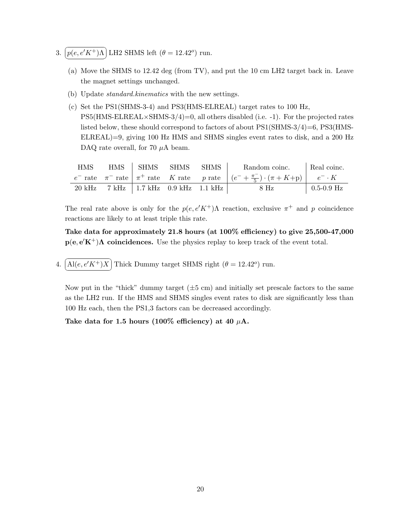- 3.  $\boxed{p(e, e'K^+) \Lambda}$  LH2 SHMS left  $(\theta = 12.42^o)$  run. ✝ ✆
	- (a) Move the SHMS to 12.42 deg (from TV), and put the 10 cm LH2 target back in. Leave the magnet settings unchanged.
	- (b) Update standard.kinematics with the new settings.
	- (c) Set the PS1(SHMS-3-4) and PS3(HMS-ELREAL) target rates to 100 Hz,  $\text{PS5(HMS-ELREAL} \times \text{SHMS-3/4}) = 0$ , all others disabled (i.e. -1). For the projected rates listed below, these should correspond to factors of about PS1(SHMS-3/4)=6, PS3(HMS-ELREAL)=9, giving 100 Hz HMS and SHMS singles event rates to disk, and a 200 Hz DAQ rate overall, for 70  $\mu$ A beam.

| <b>HMS</b>       |  | HMS SHMS SHMS<br>Random coinc. Real coinc.<br>SHMS |  |                                                                                                                |                    |
|------------------|--|----------------------------------------------------|--|----------------------------------------------------------------------------------------------------------------|--------------------|
|                  |  |                                                    |  | $e^-$ rate $\pi^-$ rate $\pi^+$ rate K rate p rate $(e^- + \frac{\pi^-}{5}) \cdot (\pi + K + p)$ $e^- \cdot K$ |                    |
| $20 \text{ kHz}$ |  | 7 kHz   1.7 kHz 0.9 kHz 1.1 kHz                    |  | $8$ Hz                                                                                                         | $\vert$ 0.5-0.9 Hz |

Take data for approximately 21.8 hours (at 100% efficiency) to give 25,500-47,000  $p(e, e'K^+)$ A coincidences. Use the physics replay to keep track of the event total.

4.  $\widehat{A l(e, e'K^+)X}$  Thick Dummy target SHMS right  $(\theta = 12.42^o)$  run. ✝ ✆

Now put in the "thick" dummy target  $(\pm 5 \text{ cm})$  and initially set prescale factors to the same as the LH2 run. If the HMS and SHMS singles event rates to disk are significantly less than 100 Hz each, then the PS1,3 factors can be decreased accordingly.

Take data for 1.5 hours (100% efficiency) at 40  $\mu$ A.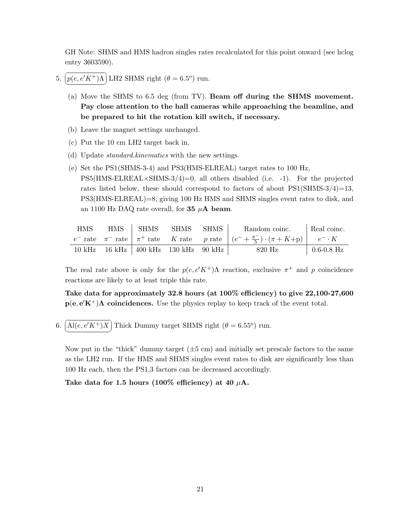GH Note: SHMS and HMS hadron singles rates recalculated for this point onward (see hclog entry 3603590).

- 5.  $\boxed{p(e, e'K^+) \Lambda}$  LH2 SHMS right  $(\theta = 6.5^o)$  run. ✝ ✆
	- (a) Move the SHMS to 6.5 deg (from TV). Beam off during the SHMS movement. Pay close attention to the hall cameras while approaching the beamline, and be prepared to hit the rotation kill switch, if necessary.
	- (b) Leave the magnet settings unchanged.
	- (c) Put the 10 cm LH2 target back in.
	- (d) Update standard.kinematics with the new settings.
	- (e) Set the PS1(SHMS-3-4) and PS3(HMS-ELREAL) target rates to 100 Hz,  $PS5(HMS-ELREAL\times SHMS-3/4)=0$ , all others disabled (i.e. -1). For the projected rates listed below, these should correspond to factors of about  $PS1(SHMS-3/4)=13$ , PS3(HMS-ELREAL)=8, giving 100 Hz HMS and SHMS singles event rates to disk, and an 1100 Hz DAQ rate overall, for 35  $\mu$ A beam.

| <b>HMS</b>        | <b>HMS</b> | SHMS                            | <b>SHMS</b> | <b>SHMS</b> | Random coinc.                                                                                                  | Real coinc.        |
|-------------------|------------|---------------------------------|-------------|-------------|----------------------------------------------------------------------------------------------------------------|--------------------|
|                   |            |                                 |             |             | $e^-$ rate $\pi^-$ rate $\pi^+$ rate K rate p rate $(e^- + \frac{\pi^-}{5}) \cdot (\pi + K + p)$ $e^- \cdot K$ |                    |
| $10~\mathrm{kHz}$ |            | 16 kHz   400 kHz 130 kHz 90 kHz |             |             | 820 Hz                                                                                                         | $\vert$ 0.6-0.8 Hz |

The real rate above is only for the  $p(e, e'K^+)$ Λ reaction, exclusive  $\pi^+$  and p coincidence reactions are likely to at least triple this rate.

Take data for approximately 32.8 hours (at 100% efficiency) to give 22,100-27,600  $p(e, e'K^+)$ A coincidences. Use the physics replay to keep track of the event total.

6.  $\left[\text{Al}(e, e'K^+)X\right]$  Thick Dummy target SHMS right  $(\theta = 6.55^{\circ})$  run. ✝ ✆

Now put in the "thick" dummy target  $(\pm 5 \text{ cm})$  and initially set prescale factors to the same as the LH2 run. If the HMS and SHMS singles event rates to disk are significantly less than 100 Hz each, then the PS1,3 factors can be decreased accordingly.

Take data for 1.5 hours (100% efficiency) at 40  $\mu$ A.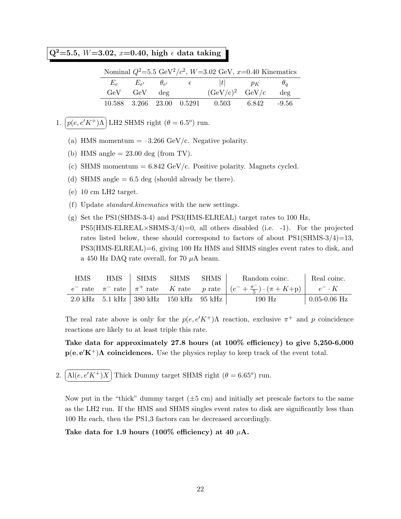# Q<sup>2</sup>=5.5, *W*=3.02, *x*=0.40, high  $\epsilon$  data taking

|                   |  | Nominal $Q^2 = 5.5 \text{ GeV}^2/c^2$ , $W = 3.02 \text{ GeV}$ , $x = 0.40 \text{ Kinematics}$ |     |
|-------------------|--|------------------------------------------------------------------------------------------------|-----|
|                   |  | $E_e$ $E_{e'}$ $\theta_{e'}$ $\epsilon$ $ t $ $p_K$ $\theta_q$                                 |     |
| $GeV$ $GeV$ $deg$ |  | $(GeV/c)^2$ $GeV/c$                                                                            | deg |
|                   |  | $10.588$ $3.266$ $23.00$ $0.5291$ $0.503$ $6.842$ $-9.56$                                      |     |

- 1.  $\boxed{p(e, e'K^+) \Lambda}$  LH2 SHMS right  $(\theta = 6.5^o)$  run. ✝ ✆
	- (a) HMS momentum  $=-3.266 \text{ GeV/c}$ . Negative polarity.
	- (b) HMS angle  $= 23.00 \text{ deg (from TV)}$ .
	- (c) SHMS momentum  $= 6.842$  GeV/c. Positive polarity. Magnets cycled.
	- (d) SHMS angle  $= 6.5$  deg (should already be there).
	- (e) 10 cm LH2 target.
	- (f) Update standard.kinematics with the new settings.
	- (g) Set the PS1(SHMS-3-4) and PS3(HMS-ELREAL) target rates to 100 Hz,  $PS5(HMS-ELREAL\times SHMS-3/4)=0$ , all others disabled (i.e. -1). For the projected rates listed below, these should correspond to factors of about  $PS1(SHMS-3/4)=13$ , PS3(HMS-ELREAL)=6, giving 100 Hz HMS and SHMS singles event rates to disk, and a 450 Hz DAQ rate overall, for 70  $\mu$ A beam.

| <b>HMS</b> |                                                      | HMS   SHMS SHMS   SHMS  <br>Random coinc. |                                                                                                                | Real coinc.          |
|------------|------------------------------------------------------|-------------------------------------------|----------------------------------------------------------------------------------------------------------------|----------------------|
|            |                                                      |                                           | $e^-$ rate $\pi^-$ rate $\pi^+$ rate K rate p rate $(e^- + \frac{\pi^-}{5}) \cdot (\pi + K + p)$ $e^- \cdot K$ |                      |
|            | 2.0 kHz $5.1$ kHz $\vert$ 380 kHz $150$ kHz $95$ kHz |                                           | $190$ Hz                                                                                                       | $\vert$ 0.05-0.06 Hz |

The real rate above is only for the  $p(e, e'K^+)$ Λ reaction, exclusive  $\pi^+$  and p coincidence reactions are likely to at least triple this rate.

Take data for approximately 27.8 hours (at 100% efficiency) to give 5,250-6,000  $p(e, e'K^+)$ A coincidences. Use the physics replay to keep track of the event total.

2.  $\left[\text{Al}(e, e'K^+)X\right]$  Thick Dummy target SHMS right  $(\theta = 6.65^{\circ})$  run. ✝ ✆

Now put in the "thick" dummy target  $(\pm 5 \text{ cm})$  and initially set prescale factors to the same as the LH2 run. If the HMS and SHMS singles event rates to disk are significantly less than 100 Hz each, then the PS1,3 factors can be decreased accordingly.

Take data for 1.9 hours (100% efficiency) at 40  $\mu$ A.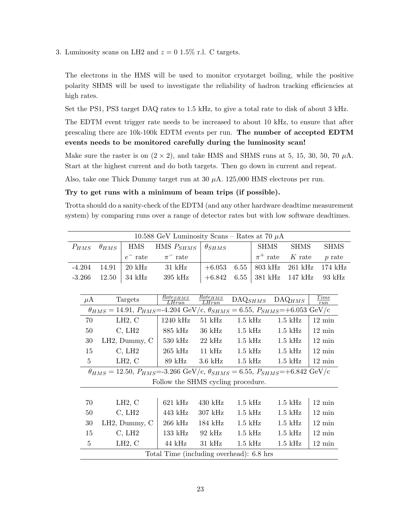3. Luminosity scans on LH2 and  $z = 0.15\%$  r.l. C targets.

The electrons in the HMS will be used to monitor cryotarget boiling, while the positive polarity SHMS will be used to investigate the reliability of hadron tracking efficiencies at high rates.

Set the PS1, PS3 target DAQ rates to 1.5 kHz, to give a total rate to disk of about 3 kHz.

The EDTM event trigger rate needs to be increased to about 10 kHz, to ensure that after prescaling there are 10k-100k EDTM events per run. The number of accepted EDTM events needs to be monitored carefully during the luminosity scan!

Make sure the raster is on  $(2 \times 2)$ , and take HMS and SHMS runs at 5, 15, 30, 50, 70  $\mu$ A. Start at the highest current and do both targets. Then go down in current and repeat.

Also, take one Thick Dummy target run at  $30 \mu A$ . 125,000 HMS electrons per run.

#### Try to get runs with a minimum of beam trips (if possible).

Trotta should do a sanity-check of the EDTM (and any other hardware deadtime measurement system) by comparing runs over a range of detector rates but with low software deadtimes.

|                                                                                                              |                |                |                  | 10.588 GeV Luminosity Scans – Rates at 70 $\mu$ A                                                            |                       |                       |                        |                    |                    |
|--------------------------------------------------------------------------------------------------------------|----------------|----------------|------------------|--------------------------------------------------------------------------------------------------------------|-----------------------|-----------------------|------------------------|--------------------|--------------------|
|                                                                                                              | $P_{HMS}$      | $\theta_{HMS}$ | <b>HMS</b>       | HMS $P_{SHMS}$                                                                                               | $\theta_{SHMS}$       |                       | <b>SHMS</b>            | <b>SHMS</b>        | <b>SHMS</b>        |
|                                                                                                              |                |                | $e^-$ rate       | $\pi^-$ rate                                                                                                 |                       |                       | $\pi^+$ rate           | $K$ rate           | $p$ rate           |
|                                                                                                              | $-4.204$       | 14.91          | $20 \text{ kHz}$ | $31 \text{ kHz}$                                                                                             | $+6.053$              | 6.55                  | $803$ kHz              | $261$ kHz          | 174 kHz            |
|                                                                                                              | $-3.266$       | 12.50          | $34$ kHz         | $395$ kHz                                                                                                    | $+6.842$              | 6.55                  | $381$ kHz              | $147$ kHz          | 93 kHz             |
|                                                                                                              |                |                |                  |                                                                                                              |                       |                       |                        |                    |                    |
|                                                                                                              | $\mu$ A        |                | Targets          | $Rate_{SHMS}$<br>LHrun                                                                                       | $Rate_{HMS}$<br>LHrun | $\mathrm{DAQ}_{SHMS}$ |                        | $\text{DAQ}_{HMS}$ | <b>Time</b><br>run |
| $\theta_{HMS} = 14.91, P_{HMS} = 4.204 \text{ GeV/c}, \theta_{SHMS} = 6.55, P_{SHMS} = +6.053 \text{ GeV/c}$ |                |                |                  |                                                                                                              |                       |                       |                        |                    |                    |
|                                                                                                              | LH2, C<br>70   |                |                  | 1240 kHz                                                                                                     | $51\ \mathrm{kHz}$    | $1.5$ kHz             |                        | $1.5$ kHz          | $12 \text{ min}$   |
|                                                                                                              | 50             |                | C, LH2           | 885 kHz                                                                                                      | $36 \text{ kHz}$      |                       | $1.5$ kHz<br>$1.5$ kHz |                    | $12 \text{ min}$   |
|                                                                                                              | $30\,$         |                | LH2, Dummy, C    | $530 \text{ kHz}$                                                                                            | $22$ kHz              | $1.5$ kHz             |                        | $1.5$ kHz          | $12 \text{ min}$   |
|                                                                                                              | $15\,$         |                | C, LH2           | $265$ kHz                                                                                                    | $11$ kHz              | $1.5$ kHz             |                        | $1.5$ kHz          | $12 \text{ min}$   |
|                                                                                                              | $\overline{5}$ |                | LH2, C           | 89 kHz                                                                                                       | $3.6$ kHz             | $1.5$ kHz             |                        | $1.5$ kHz          | $12 \text{ min}$   |
|                                                                                                              |                |                |                  | $\theta_{HMS} = 12.50, P_{HMS} = 3.266 \text{ GeV/c}, \theta_{SHMS} = 6.55, P_{SHMS} = +6.842 \text{ GeV/c}$ |                       |                       |                        |                    |                    |
|                                                                                                              |                |                |                  | Follow the SHMS cycling procedure.                                                                           |                       |                       |                        |                    |                    |
|                                                                                                              |                |                |                  |                                                                                                              |                       |                       |                        |                    |                    |
|                                                                                                              | 70             |                | LH2, C           | $621$ kHz                                                                                                    | $430$ kHz             | $1.5$ kHz             |                        | $1.5$ kHz          | $12 \text{ min}$   |
|                                                                                                              | $50\,$         |                | C, LH2           | $443$ kHz                                                                                                    | $307$ kHz             | $1.5$ kHz             |                        | $1.5$ kHz          | $12 \text{ min}$   |
|                                                                                                              | $30\,$         |                | LH2, Dummy, C    | $266$ kHz                                                                                                    | $184 \text{ kHz}$     | $1.5$ kHz             |                        | $1.5$ kHz          | $12 \text{ min}$   |
|                                                                                                              | 15             |                | C, LH2           | $133$ kHz                                                                                                    | $92$ kHz              | $1.5$ kHz             |                        | $1.5$ kHz          | $12 \text{ min}$   |
|                                                                                                              | 5              |                | LH2, C           | 44 kHz                                                                                                       | $31$ kHz              | $1.5$ kHz             |                        | $1.5$ kHz          | $12 \text{ min}$   |
|                                                                                                              |                |                |                  | Total Time (including overhead): 6.8 hrs                                                                     |                       |                       |                        |                    |                    |
|                                                                                                              |                |                |                  |                                                                                                              |                       |                       |                        |                    |                    |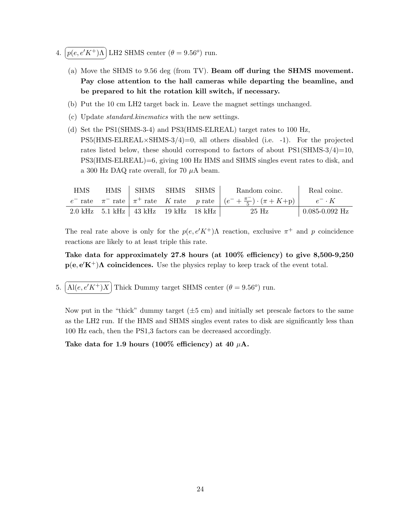- 4.  $\boxed{p(e, e'K^+)$ A LH2 SHMS center  $(\theta = 9.56^o)$  run. ✝ ✆
	- (a) Move the SHMS to 9.56 deg (from TV). Beam off during the SHMS movement. Pay close attention to the hall cameras while departing the beamline, and be prepared to hit the rotation kill switch, if necessary.
	- (b) Put the 10 cm LH2 target back in. Leave the magnet settings unchanged.
	- (c) Update standard.kinematics with the new settings.
	- (d) Set the PS1(SHMS-3-4) and PS3(HMS-ELREAL) target rates to 100 Hz,  $PS5(HMS-ELREAL\times SHMS-3/4)=0$ , all others disabled (i.e. -1). For the projected rates listed below, these should correspond to factors of about  $PS1(SHMS-3/4)=10$ , PS3(HMS-ELREAL)=6, giving 100 Hz HMS and SHMS singles event rates to disk, and a 300 Hz DAQ rate overall, for 70  $\mu$ A beam.

| <b>HMS</b> | HMS SHMS SHMS SHMS                               |  | Random coinc.                                                                                    | Real coinc.        |
|------------|--------------------------------------------------|--|--------------------------------------------------------------------------------------------------|--------------------|
|            |                                                  |  | $e^-$ rate $\pi^-$ rate $\pi^+$ rate K rate p rate $(e^- + \frac{\pi^-}{5}) \cdot (\pi + K + p)$ | $e^- \cdot K$      |
|            | $2.0 \text{ kHz}$ 5.1 kHz   43 kHz 19 kHz 18 kHz |  | 25 Hz                                                                                            | $0.085 - 0.092$ Hz |

Take data for approximately 27.8 hours (at 100% efficiency) to give 8,500-9,250  $p(e, e'K^+)$ A coincidences. Use the physics replay to keep track of the event total.

5.  $\overline{\bigcap}$ ✝  $\ddot{\phantom{0}}$ ✆  $\text{Al}(e, e'K^+)X$  Thick Dummy target SHMS center  $(\theta = 9.56^{\circ})$  run.

Now put in the "thick" dummy target  $(\pm 5 \text{ cm})$  and initially set prescale factors to the same as the LH2 run. If the HMS and SHMS singles event rates to disk are significantly less than 100 Hz each, then the PS1,3 factors can be decreased accordingly.

Take data for 1.9 hours (100% efficiency) at 40  $\mu$ A.